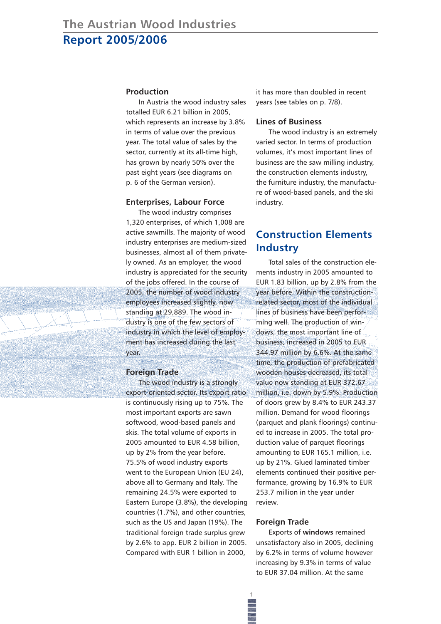#### **Production**

In Austria the wood industry sales totalled EUR 6.21 billion in 2005, which represents an increase by 3.8% in terms of value over the previous year. The total value of sales by the sector, currently at its all-time high, has grown by nearly 50% over the past eight years (see diagrams on p. 6 of the German version).

#### **Enterprises, Labour Force**

The wood industry comprises 1,320 enterprises, of which 1,008 are active sawmills. The majority of wood industry enterprises are medium-sized businesses, almost all of them privately owned. As an employer, the wood industry is appreciated for the security of the jobs offered. In the course of 2005, the number of wood industry employees increased slightly, now standing at 29,889. The wood industry is one of the few sectors of industry in which the level of employment has increased during the last year.

### **Foreign Trade**

The wood industry is a strongly export-oriented sector. Its export ratio is continuously rising up to 75%. The most important exports are sawn softwood, wood-based panels and skis. The total volume of exports in 2005 amounted to EUR 4.58 billion, up by 2% from the year before. 75.5% of wood industry exports went to the European Union (EU 24), above all to Germany and Italy. The remaining 24.5% were exported to Eastern Europe (3.8%), the developing countries (1.7%), and other countries, such as the US and Japan (19%). The traditional foreign trade surplus grew by 2.6% to app. EUR 2 billion in 2005. Compared with EUR 1 billion in 2000,

it has more than doubled in recent years (see tables on p. 7/8).

## **Lines of Business**

The wood industry is an extremely varied sector. In terms of production volumes, it's most important lines of business are the saw milling industry, the construction elements industry, the furniture industry, the manufacture of wood-based panels, and the ski industry.

# **Construction Elements Industry**

Total sales of the construction elements industry in 2005 amounted to EUR 1.83 billion, up by 2.8% from the year before. Within the constructionrelated sector, most of the individual lines of business have been performing well. The production of windows, the most important line of business, increased in 2005 to EUR 344.97 million by 6.6%. At the same time, the production of prefabricated wooden houses decreased, its total value now standing at EUR 372.67 million, i.e. down by 5.9%. Production of doors grew by 8.4% to EUR 243.37 million. Demand for wood floorings (parquet and plank floorings) continued to increase in 2005. The total production value of parquet floorings amounting to EUR 165.1 million, i.e. up by 21%. Glued laminated timber elements continued their positive performance, growing by 16.9% to EUR 253.7 million in the year under review.

#### **Foreign Trade**

**1**

Exports of **windows** remained unsatisfactory also in 2005, declining by 6.2% in terms of volume however increasing by 9.3% in terms of value to EUR 37.04 million. At the same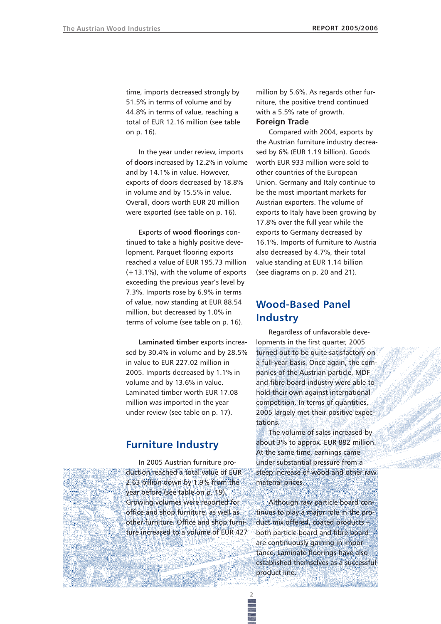time, imports decreased strongly by 51.5% in terms of volume and by 44.8% in terms of value, reaching a total of EUR 12.16 million (see table on p. 16).

In the year under review, imports of **doors** increased by 12.2% in volume and by 14.1% in value. However, exports of doors decreased by 18.8% in volume and by 15.5% in value. Overall, doors worth EUR 20 million were exported (see table on p. 16).

Exports of **wood floorings** continued to take a highly positive development. Parquet flooring exports reached a value of EUR 195.73 million (+13.1%), with the volume of exports exceeding the previous year's level by 7.3%. Imports rose by 6.9% in terms of value, now standing at EUR 88.54 million, but decreased by 1.0% in terms of volume (see table on p. 16).

**Laminated timber** exports increased by 30.4% in volume and by 28.5% in value to EUR 227.02 million in 2005. Imports decreased by 1.1% in volume and by 13.6% in value. Laminated timber worth EUR 17.08 million was imported in the year under review (see table on p. 17).

# **Furniture Industry**

In 2005 Austrian furniture production reached a total value of EUR 2.63 billion down by 1.9% from the year before (see table on p. 19). Growing volumes were reported for office and shop furniture, as well as other furniture. Office and shop furniture increased to a volume of EUR 427 million by 5.6%. As regards other furniture, the positive trend continued with a 5.5% rate of growth. **Foreign Trade** 

Compared with 2004, exports by the Austrian furniture industry decreased by 6% (EUR 1.19 billion). Goods worth EUR 933 million were sold to other countries of the European Union. Germany and Italy continue to be the most important markets for Austrian exporters. The volume of exports to Italy have been growing by 17.8% over the full year while the exports to Germany decreased by 16.1%. Imports of furniture to Austria also decreased by 4.7%, their total value standing at EUR 1.14 billion (see diagrams on p. 20 and 21).

# **Wood-Based Panel Industry**

Regardless of unfavorable developments in the first quarter, 2005 turned out to be quite satisfactory on a full-year basis. Once again, the companies of the Austrian particle, MDF and fibre board industry were able to hold their own against international competition. In terms of quantities, 2005 largely met their positive expectations.

The volume of sales increased by about 3% to approx. EUR 882 million. At the same time, earnings came under substantial pressure from a steep increase of wood and other raw material prices.

Although raw particle board continues to play a major role in the product mix offered, coated products – both particle board and fibre board – are continuously gaining in importance. Laminate floorings have also established themselves as a successful product line.

**2**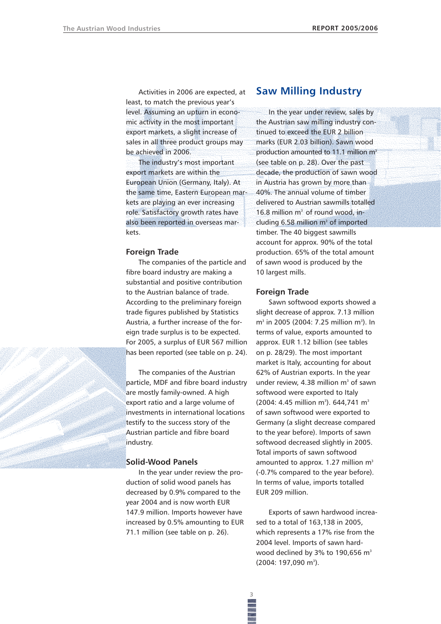Activities in 2006 are expected, at least, to match the previous year's level. Assuming an upturn in economic activity in the most important export markets, a slight increase of sales in all three product groups may be achieved in 2006.

The industry's most important export markets are within the European Union (Germany, Italy). At the same time, Eastern European markets are playing an ever increasing role. Satisfactory growth rates have also been reported in overseas markets.

#### **Foreign Trade**

The companies of the particle and fibre board industry are making a substantial and positive contribution to the Austrian balance of trade. According to the preliminary foreign trade figures published by Statistics Austria, a further increase of the foreign trade surplus is to be expected. For 2005, a surplus of EUR 567 million has been reported (see table on p. 24).

The companies of the Austrian particle, MDF and fibre board industry are mostly family-owned. A high export ratio and a large volume of investments in international locations testify to the success story of the Austrian particle and fibre board industry.

#### **Solid-Wood Panels**

In the year under review the production of solid wood panels has decreased by 0.9% compared to the year 2004 and is now worth EUR 147.9 million. Imports however have increased by 0.5% amounting to EUR 71.1 million (see table on p. 26).

## **Saw Milling Industry**

In the year under review, sales by the Austrian saw milling industry continued to exceed the EUR 2 billion marks (EUR 2.03 billion). Sawn wood production amounted to 11.1 million m<sup>3</sup> (see table on p. 28). Over the past decade, the production of sawn wood in Austria has grown by more than 40%. The annual volume of timber delivered to Austrian sawmills totalled 16.8 million m<sup>3</sup> of round wood, including  $6.58$  million  $m<sup>3</sup>$  of imported timber. The 40 biggest sawmills account for approx. 90% of the total production. 65% of the total amount of sawn wood is produced by the 10 largest mills.

### **Foreign Trade**

Sawn softwood exports showed a slight decrease of approx. 7.13 million  $m<sup>3</sup>$  in 2005 (2004: 7.25 million m<sup>3</sup>). In terms of value, exports amounted to approx. EUR 1.12 billion (see tables on p. 28/29). The most important market is Italy, accounting for about 62% of Austrian exports. In the year under review, 4.38 million  $m<sup>3</sup>$  of sawn softwood were exported to Italy  $(2004: 4.45 \text{ million m}^3)$ . 644,741 m<sup>3</sup> of sawn softwood were exported to Germany (a slight decrease compared to the year before). Imports of sawn softwood decreased slightly in 2005. Total imports of sawn softwood amounted to approx. 1.27 million  $m<sup>3</sup>$ (-0.7% compared to the year before). In terms of value, imports totalled EUR 209 million.

Exports of sawn hardwood increased to a total of 163,138 in 2005, which represents a 17% rise from the 2004 level. Imports of sawn hardwood declined by 3% to 190,656 m<sup>3</sup> (2004: 197,090 m<sup>3</sup>).

**3**